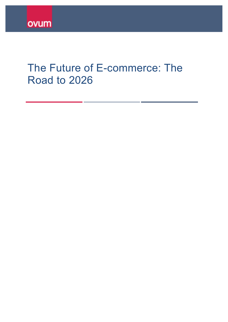# The Future of E-commerce: The Road to 2026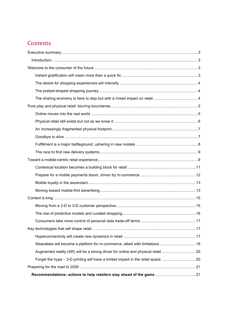### **Contents**

| Wearables will become a platform for m-commerce, albeit with limitations  18     |  |
|----------------------------------------------------------------------------------|--|
| Augmented reality (AR) will be a strong driver for online and physical retail 20 |  |
| Forget the hype - 3-D printing will have a limited impact in the retail space 20 |  |
|                                                                                  |  |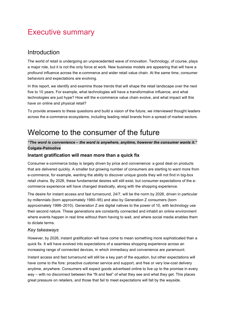### <span id="page-2-0"></span>Executive summary

#### Introduction

The world of retail is undergoing an unprecedented wave of innovation. Technology, of course, plays a major role, but it is not the only force at work. New business models are appearing that will have a profound influence across the e-commerce and wider retail value chain. At the same time, consumer behaviors and expectations are evolving.

In this report, we identify and examine those trends that will shape the retail landscape over the next five to 10 years. For example, what technologies will have a transformative influence, and what technologies are just hype? How will the e-commerce value chain evolve, and what impact will this have on online and physical retail?

To provide answers to these questions and build a vision of the future, we interviewed thought leaders across the e-commerce ecosystems, including leading retail brands from a spread of market sectors.

### Welcome to the consumer of the future

#### *"The word is convenience – the word is anywhere, anytime, however the consumer wants it."* **Colgate-Palmolive**

#### **Instant gratification will mean more than a quick fix**

Consumer e-commerce today is largely driven by price and convenience: a good deal on products that are delivered quickly. A smaller but growing number of consumers are starting to want more from e-commerce, for example, wanting the ability to discover unique goods they will not find in big-box retail chains. By 2026, these fundamental desires will still exist, but consumer expectations of the ecommerce experience will have changed drastically, along with the shopping experience.

The desire for instant access and fast turnaround, 24/7, will be the norm by 2026, driven in particular by millennials (born approximately 1980–95) and also by Generation Z consumers (born approximately 1996–2010). Generation Z are digital natives to the power of 10, with technology use their second nature. These generations are constantly connected and inhabit an online environment where events happen in real time without them having to wait, and where social media enables them to dictate terms.

#### *Key takeaways*

However, by 2026, instant gratification will have come to mean something more sophisticated than a quick fix. It will have evolved into expectations of a seamless shopping experience across an increasing range of connected devices, in which immediacy and convenience are paramount.

Instant access and fast turnaround will still be a key part of the equation, but other expectations will have come to the fore: proactive customer service and support, and free or very low-cost delivery anytime, anywhere. Consumers will expect goods advertised online to live up to the promise in every way – with no disconnect between the "fit and feel" of what they see and what they get. This places great pressure on retailers, and those that fail to meet expectations will fall by the wayside.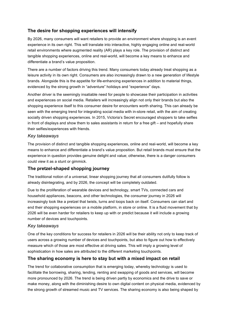#### <span id="page-3-0"></span>**The desire for shopping experiences will intensify**

By 2026, many consumers will want retailers to provide an environment where shopping is an event experience in its own right. This will translate into interactive, highly engaging online and real-world retail environments where augmented reality (AR) plays a key role. The provision of distinct and tangible shopping experiences, online and real-world, will become a key means to enhance and differentiate a brand's value proposition.

There are a number of factors driving this trend. Many consumers today already treat shopping as a leisure activity in its own right. Consumers are also increasingly drawn to a new generation of lifestyle brands. Alongside this is the appetite for life-enhancing experiences in addition to material things, evidenced by the strong growth in "adventure" holidays and "experience" days.

Another driver is the seemingly insatiable need for people to showcase their participation in activities and experiences on social media. Retailers will increasingly align not only their brands but also the shopping experience itself to this consumer desire for encounters worth sharing. This can already be seen with the emerging trend for integrating social media with in-store retail, with the aim of creating socially driven shopping experiences. In 2015, Victoria's Secret encouraged shoppers to take selfies in front of displays and show them to sales assistants in return for a free gift – and hopefully share their selfies/experiences with friends.

#### *Key takeaways*

The provision of distinct and tangible shopping experiences, online and real-world, will become a key means to enhance and differentiate a brand's value proposition. But retail brands must ensure that the experience in question provides genuine delight and value; otherwise, there is a danger consumers could view it as a stunt or gimmick.

#### **The pretzel-shaped shopping journey**

The traditional notion of a universal, linear shopping journey that all consumers dutifully follow is already disintegrating, and by 2026, the concept will be completely outdated.

Due to the proliferation of wearable devices and technology, smart TVs, connected cars and household appliances, beacons, and other technologies, the consumer journey in 2026 will increasingly look like a pretzel that twists, turns and loops back on itself. Consumers can start and end their shopping experiences on a mobile platform, in store or online. It is a fluid movement that by 2026 will be even harder for retailers to keep up with or predict because it will include a growing number of devices and touchpoints.

#### *Key takeaways*

One of the key conditions for success for retailers in 2026 will be their ability not only to keep track of users across a growing number of devices and touchpoints, but also to figure out how to effectively measure which of those are most effective at driving sales. This will imply a growing level of sophistication in how sales are attributed to the different marketing touchpoints.

#### **The sharing economy is here to stay but with a mixed impact on retail**

The trend for collaborative consumption that is emerging today, whereby technology is used to facilitate the borrowing, sharing, lending, renting and swapping of goods and services, will become more pronounced by 2026. The trend is being driven partly by economics and the drive to save or make money, along with the diminishing desire to own digital content on physical media, evidenced by the strong growth of streamed music and TV services. The sharing economy is also being shaped by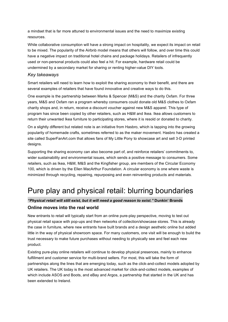<span id="page-4-0"></span>a mindset that is far more attuned to environmental issues and the need to maximize existing resources.

While collaborative consumption will have a strong impact on hospitality, we expect its impact on retail to be mixed. The popularity of the Airbnb model means that others will follow, and over time this could have a negative impact on traditional hotel chains and package holidays. Retailers of infrequently used or non-personal products could also feel a hit. For example, hardware retail could be undermined by a secondary market for sharing or renting higher-value DIY tools.

#### *Key takeaways*

Smart retailers will need to learn how to exploit the sharing economy to their benefit, and there are several examples of retailers that have found innovative and creative ways to do this.

One example is the partnership between Marks & Spencer (M&S) and the charity Oxfam. For three years, M&S and Oxfam ran a program whereby consumers could donate old M&S clothes to Oxfam charity shops and, in return, receive a discount voucher against new M&S apparel. This type of program has since been copied by other retailers, such as H&M and Ikea. Ikea allows customers to return their unwanted Ikea furniture to participating stores, where it is resold or donated to charity.

On a slightly different but related note is an initiative from Hasbro, which is tapping into the growing popularity of homemade crafts, sometimes referred to as the maker movement. Hasbro has created a site called SuperFanArt.com that allows fans of My Little Pony to showcase art and sell 3-D printed designs.

Supporting the sharing economy can also become part of, and reinforce retailers' commitments to, wider sustainability and environmental issues, which sends a positive message to consumers. Some retailers, such as Ikea, H&M, M&S and the Kingfisher group, are members of the Circular Economy 100, which is driven by the Ellen MacArthur Foundation. A circular economy is one where waste is minimized through recycling, repairing, repurposing and even reinventing products and materials.

## Pure play and physical retail: blurring boundaries

#### *"Physical retail will still exist, but it will need a good reason to exist."* **Dunkin' Brands**

#### **Online moves into the real world**

New entrants to retail will typically start from an online pure-play perspective, moving to test out physical retail space with pop-ups and then networks of collection/showcase stores. This is already the case in furniture, where new entrants have built brands and a design aesthetic online but added little in the way of physical showroom space. For many customers, one visit will be enough to build the trust necessary to make future purchases without needing to physically see and feel each new product.

Existing pure-play online retailers will continue to develop physical presences, mainly to enhance fulfillment and customer service for multi-brand sellers. For most, this will take the form of partnerships along the lines that are emerging today, such as the click-and-collect models adopted by UK retailers. The UK today is the most advanced market for click-and-collect models, examples of which include ASOS and Boots, and eBay and Argos, a partnership that started in the UK and has been extended to Ireland.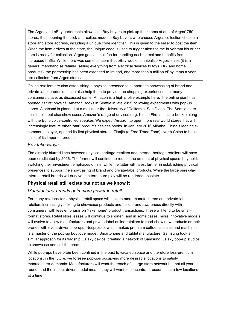<span id="page-5-0"></span>The Argos and eBay partnership allows all eBay buyers to pick up their items at one of Argos' 750 stores, thus opening the click-and-collect model. eBay buyers who choose Argos collection choose a store and store address, including a unique code identifier. This is given to the seller to post the item. When the item arrives at the store, the unique code is used to trigger alerts to the buyer that his or her item is ready for collection. Argos gets a small fee for handling each parcel and benefits from increased traffic. While there was some concern that eBay would cannibalize Argos' sales (it is a general merchandise retailer, selling everything from electrical devices to toys, DIY and home products), the partnership has been extended to Ireland, and more than a million eBay items a year are collected from Argos stores.

Online retailers are also establishing a physical presence to support the showcasing of brand and private-label products. It can also help them to provide the shopping experiences that many consumers crave, as discussed earlier Amazon is a high profile example here. The online giant has opened its first physical Amazon Books in Seattle in late 2015, following experiments with pop-up stores. A second is planned at a mall near the University of California, San Diego. The Seattle store sells books but also show cases Amazon's range of devices (e.g. Kindle Fire tablets, e-books) along with the Echo voice-controlled speaker. We expect Amazon to open more real world stores that will increasingly feature other "star" products besides books. In January 2016 Alibaba, China's leading ecommerce player, opened its first physical store in Tianjin (a Free Trade Zone), North China to boost sales of its imported products.

#### *Key takeaways*

The already blurred lines between physical-heritage retailers and Internet-heritage retailers will have been eradicated by 2026. The former will continue to reduce the amount of physical space they hold, switching their investment emphases online, while the latter will invest further in establishing physical presences to support the showcasing of brand and private-label products. While the large pure-play Internet retail brands will survive, the term pure play will be rendered obsolete.

#### Physical retail still exists but not as we know it

#### *Manufacturer brands gain more power in retail*

For many retail sectors, physical retail space will include more manufacturers and private-label retailers increasingly looking to showcase products and build brand awareness directly with consumers, with less emphasis on "take home" product transactions. These will tend to be small format stores. Retail store leases will continue to shorten, and in some cases, more innovative models will evolve to allow manufacturers and private-label online retailers to road-show new products or their brands with event-driven pop-ups. Nespresso, which makes premium coffee capsules and machines, is a master of the pop-up boutique model. Smartphone and tablet manufacturer Samsung took a similar approach for its flagship Galaxy device, creating a network of Samsung Galaxy pop-up studios to showcase and sell the product.

While pop-ups have often been confined in the past to vacated space and therefore less-premium locations, in the future, we foresee pop-ups occupying more desirable locations to satisfy manufacturer demands. Manufacturers will want the reach of a large store network but not all yearround, and the impact-driven model means they will want to concentrate resources at a few locations at a time.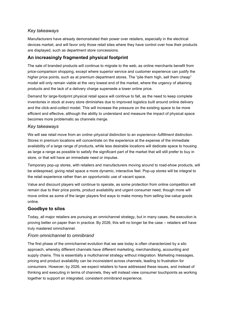#### <span id="page-6-0"></span>*Key takeaways*

Manufacturers have already demonstrated their power over retailers, especially in the electrical devices market, and will favor only those retail sites where they have control over how their products are displayed, such as department store concessions.

#### **An increasingly fragmented physical footprint**

The sale of branded products will continue to migrate to the web, as online merchants benefit from price-comparison shopping, except where superior service and customer experience can justify the higher price points, such as at premium department stores. The "pile them high, sell them cheap" model will only remain viable at the very lowest end of the market, where the urgency of attaining products and the lack of a delivery charge supersede a lower online price.

Demand for large-footprint physical retail space will continue to fall, as the need to keep complete inventories in stock at every store diminishes due to improved logistics built around online delivery and the click-and-collect model. This will increase the pressure on the existing space to be more efficient and effective, although the ability to understand and measure the impact of physical space becomes more problematic as channels merge.

#### *Key takeaways*

We will see retail move from an *online–physical* distinction to an *experience–fulfillment* distinction. Stores in premium locations will concentrate on the experience at the expense of the immediate availability of a large range of products, while less desirable locations will dedicate space to housing as large a range as possible to satisfy the significant part of the market that will still prefer to buy in store, or that will have an immediate need or impulse.

Temporary pop-up stores, with retailers and manufacturers moving around to road-show products, will be widespread, giving retail space a more dynamic, interactive feel. Pop-up stores will be integral to the retail experience rather than an opportunistic use of vacant space.

Value and discount players will continue to operate, as some protection from online competition will remain due to their price points, product availability and urgent consumer need, though more will move online as some of the larger players find ways to make money from selling low-value goods online.

#### **Goodbye to silos**

Today, all major retailers are pursuing an omnichannel strategy, but in many cases, the execution is proving better on paper than in practice. By 2026, this will no longer be the case – retailers will have truly mastered omnichannel.

#### *From omnichannel to omnibrand*

The first phase of the omnichannel evolution that we see today is often characterized by a silo approach, whereby different channels have different marketing, merchandising, accounting and supply chains. This is essentially a multichannel strategy without integration. Marketing messages, pricing and product availability can be inconsistent across channels, leading to frustration for consumers. However, by 2026, we expect retailers to have addressed these issues, and instead of thinking and executing in terms of channels, they will instead view consumer touchpoints as working together to support an integrated, consistent omnibrand experience.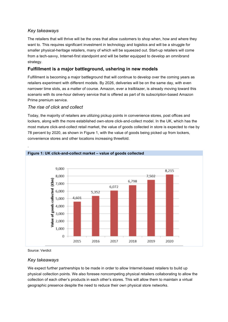#### <span id="page-7-0"></span>*Key takeaways*

The retailers that will thrive will be the ones that allow customers to shop when, how and where they want to. This requires significant investment in technology and logistics and will be a struggle for smaller physical-heritage retailers, many of which will be squeezed out. Start-up retailers will come from a tech-savvy, Internet-first standpoint and will be better equipped to develop an omnibrand strategy.

#### **Fulfillment is a major battleground, ushering in new models**

Fulfillment is becoming a major battleground that will continue to develop over the coming vears as retailers experiment with different models. By 2026, deliveries will be on the same day, with even narrower time slots, as a matter of course. Amazon, ever a trailblazer, is already moving toward this scenario with its one-hour delivery service that is offered as part of its subscription-based Amazon Prime premium service.

#### *The rise of click and collect*

Today, the majority of retailers are utilizing pickup points in convenience stores, post offices and lockers, along with the more established own-store click-and-collect model. In the UK, which has the most mature click-and-collect retail market, the value of goods collected in store is expected to rise by 78 percent by 2020, as shown in Figure 1, with the value of goods being picked up from lockers, convenience stores and other locations increasing threefold.



Source: Verdict

.

#### *Key takeaways*

We expect further partnerships to be made in order to allow Internet-based retailers to build up physical collection points. We also foresee noncompeting physical retailers collaborating to allow the collection of each other's products in each other's stores. This will allow them to maintain a virtual geographic presence despite the need to reduce their own physical store networks.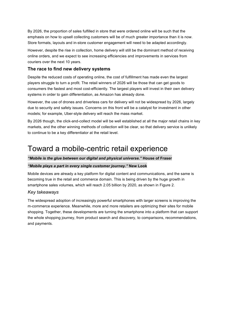<span id="page-8-0"></span>By 2026, the proportion of sales fulfilled in store that were ordered online will be such that the emphasis on how to upsell collecting customers will be of much greater importance than it is now. Store formats, layouts and in-store customer engagement will need to be adapted accordingly.

However, despite the rise in collection, home delivery will still be the dominant method of receiving online orders, and we expect to see increasing efficiencies and improvements in services from couriers over the next 10 years.

#### **The race to find new delivery systems**

Despite the reduced costs of operating online, the cost of fulfillment has made even the largest players struggle to turn a profit. The retail winners of 2026 will be those that can get goods to consumers the fastest and most cost-efficiently. The largest players will invest in their own delivery systems in order to gain differentiation, as Amazon has already done.

However, the use of drones and driverless cars for delivery will not be widespread by 2026, largely due to security and safety issues. Concerns on this front will be a catalyst for investment in other models;; for example, Uber-style delivery will reach the mass market.

By 2026 though, the click-and-collect model will be well established at all the major retail chains in key markets, and the other winning methods of collection will be clear, so that delivery service is unlikely to continue to be a key differentiator at the retail level.

### Toward a mobile-centric retail experience

#### "Mobile is the glue between our digital and physical universe." House of Fraser

#### *"Mobile plays a part in every single customer journey."* **New Look**

Mobile devices are already a key platform for digital content and communications, and the same is becoming true in the retail and commerce domain. This is being driven by the huge growth in smartphone sales volumes, which will reach 2.05 billion by 2020, as shown in Figure 2.

#### *Key takeaways*

The widespread adoption of increasingly powerful smartphones with larger screens is improving the m-commerce experience. Meanwhile, more and more retailers are optimizing their sites for mobile shopping. Together, these developments are turning the smartphone into a platform that can support the whole shopping journey, from product search and discovery, to comparisons, recommendations, and payments.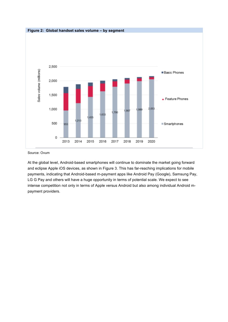

Source: Ovum

At the global level, Android-based smartphones will continue to dominate the market going forward and eclipse Apple iOS devices, as shown in Figure 3. This has far-reaching implications for mobile payments, indicating that Android-based m-payment apps like Android Pay (Google), Samsung Pay, LG G Pay and others will have a huge opportunity in terms of potential scale. We expect to see intense competition not only in terms of Apple versus Android but also among individual Android mpayment providers.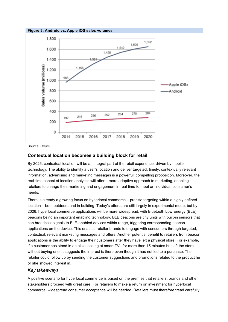<span id="page-10-0"></span>

Source: Ovum

#### **Contextual location becomes a building block for retail**

By 2026, contextual location will be an integral part of the retail experience, driven by mobile technology. The ability to identify a user's location and deliver targeted, timely, contextually relevant information, advertising and marketing messages is a powerful, compelling proposition. Moreover, the real-time aspect of location analytics will offer a more adaptive approach to marketing, enabling retailers to change their marketing and engagement in real time to meet an individual consumer's needs.

There is already a growing focus on hyperlocal commerce – precise targeting within a highly defined location – both outdoors and in building. Today's efforts are still largely in experimental mode, but by 2026, hyperlocal commerce applications will be more widespread, with Bluetooth Low Energy (BLE) beacons being an important enabling technology. BLE beacons are tiny units with built-in sensors that can broadcast signals to BLE-enabled devices within range, triggering corresponding beacon applications on the device. This enables retailer brands to engage with consumers through targeted, contextual, relevant marketing messages and offers. Another potential benefit to retailers from beacon applications is the ability to engage their customers after they have left a physical store. For example, if a customer has stood in an aisle looking at smart TVs for more than 15 minutes but left the store without buying one, it suggests the interest is there even though it has not led to a purchase. The retailer could follow up by sending the customer suggestions and promotions related to the product he or she showed interest in.

#### *Key takeaways*

A positive scenario for hyperlocal commerce is based on the premise that retailers, brands and other stakeholders proceed with great care. For retailers to make a return on investment for hyperlocal commerce, widespread consumer acceptance will be needed. Retailers must therefore tread carefully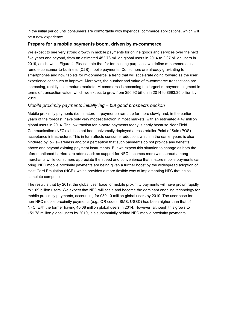<span id="page-11-0"></span>in the initial period until consumers are comfortable with hyperlocal commerce applications, which will be a new experience.

#### **Prepare for a mobile payments boom, driven by m-commerce**

We expect to see very strong growth in mobile payments for online goods and services over the next five years and beyond, from an estimated 452.78 million global users in 2014 to 2.07 billion users in 2019, as shown in Figure 4. Please note that for forecasting purposes, we define m-commerce as remote consumer-to-business (C2B) mobile payments. Consumers are already gravitating to smartphones and now tablets for m-commerce, a trend that will accelerate going forward as the user experience continues to improve. Moreover, the number and value of m-commerce transactions are increasing, rapidly so in mature markets. M-commerce is becoming the largest m-payment segment in terms of transaction value, which we expect to grow from \$50.92 billion in 2014 to \$693.35 billion by 2019.

#### *Mobile proximity payments initially lag – but good prospects beckon*

Mobile proximity payments (i.e., in-store m-payments) ramp up far more slowly and, in the earlier years of the forecast, have only very modest traction in most markets, with an estimated 4.47 million global users in 2014. The low traction for in-store payments today is partly because Near Field Communication (NFC) still has not been universally deployed across retailer Point of Sale (POS) acceptance infrastructure. This in turn affects consumer adoption, which in the earlier years is also hindered by low awareness and/or a perception that such payments do not provide any benefits above and beyond existing payment instruments. But we expect this situation to change as both the aforementioned barriers are addressed: as support for NFC becomes more widespread among merchants while consumers appreciate the speed and convenience that in-store mobile payments can bring. NFC mobile proximity payments are being given a further boost by the widespread adoption of Host Card Emulation (HCE), which provides a more flexible way of implementing NFC that helps stimulate competition.

The result is that by 2019, the global user base for mobile proximity payments will have grown rapidly to 1.09 billion users. We expect that NFC will scale and become the dominant enabling technology for mobile proximity payments, accounting for 939.10 million global users by 2019. The user base for non-NFC mobile proximity payments (e.g., QR codes, SMS, USSD) has been higher than that of NFC, with the former having 40.08 million global users in 2014. However, although this grows to 151.78 million global users by 2019, it is substantially behind NFC mobile proximity payments.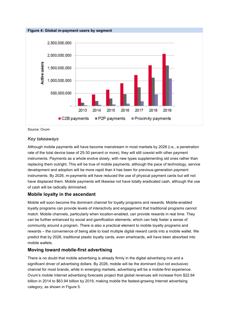<span id="page-12-0"></span>

Source: Ovum

#### *Key takeaways*

Although mobile payments will have become mainstream in most markets by 2026 (i.e., a penetration rate of the total device base of 25-30 percent or more), they will still coexist with other payment instruments. Payments as a whole evolve slowly, with new types supplementing old ones rather than replacing them outright. This will be true of mobile payments, although the pace of technology, service development and adoption will be more rapid than it has been for previous-generation payment instruments. By 2026, m-payments will have reduced the use of physical payment cards but will not have displaced them. Mobile payments will likewise not have totally eradicated cash, although the use of cash will be radically diminished.

#### **Mobile loyalty in the ascendant**

Mobile will soon become the dominant channel for loyalty programs and rewards. Mobile-enabled loyalty programs can provide levels of interactivity and engagement that traditional programs cannot match. Mobile channels, particularly when location-enabled, can provide rewards in real time. They can be further enhanced by social and gamification elements, which can help foster a sense of community around a program. There is also a practical element to mobile loyalty programs and rewards – the convenience of being able to load multiple digital reward cards into a mobile wallet. We predict that by 2026, traditional plastic loyalty cards, even smartcards, will have been absorbed into mobile wallets.

#### **Moving toward mobile-first advertising**

There is no doubt that mobile advertising is already firmly in the digital advertising mix and a significant driver of advertising dollars. By 2026, mobile will be the dominant (but not exclusive) channel for most brands, while in emerging markets, advertising will be a mobile-first experience. Ovum's mobile Internet advertising forecasts project that global revenues will increase from \$22.64 billion in 2014 to \$63.94 billion by 2019, making mobile the fastest-growing Internet advertising category, as shown in Figure 5.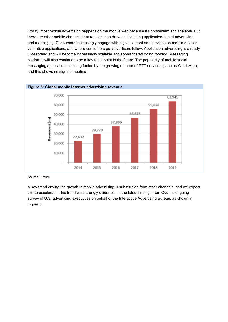<span id="page-13-0"></span>Today, most mobile advertising happens on the mobile web because it's convenient and scalable. But there are other mobile channels that retailers can draw on, including application-based advertising and messaging. Consumers increasingly engage with digital content and services on mobile devices via native applications, and where consumers go, advertisers follow. Application advertising is already widespread and will become increasingly scalable and sophisticated going forward. Messaging platforms will also continue to be a key touchpoint in the future. The popularity of mobile social messaging applications is being fueled by the growing number of OTT services (such as WhatsApp), and this shows no signs of abating.



Source: Ovum

A key trend driving the growth in mobile advertising is substitution from other channels, and we expect this to accelerate. This trend was strongly evidenced in the latest findings from Ovum's ongoing survey of U.S. advertising executives on behalf of the Interactive Advertising Bureau, as shown in Figure 6.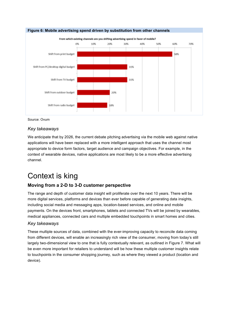<span id="page-14-0"></span>

Source: Ovum

#### *Key takeaways*

We anticipate that by 2026, the current debate pitching advertising via the mobile web against native applications will have been replaced with a more intelligent approach that uses the channel most appropriate to device form factors, target audience and campaign objectives. For example, in the context of wearable devices, native applications are most likely to be a more effective advertising channel.

### Context is king

#### **Moving from a 2-D to 3-D customer perspective**

The range and depth of customer data insight will proliferate over the next 10 years. There will be more digital services, platforms and devices than ever before capable of generating data insights, including social media and messaging apps, location-based services, and online and mobile payments. On the devices front, smartphones, tablets and connected TVs will be joined by wearables, medical appliances, connected cars and multiple embedded touchpoints in smart homes and cities.

#### *Key takeaways*

These multiple sources of data, combined with the ever-improving capacity to reconcile data coming from different devices, will enable an increasingly rich view of the consumer, moving from today's still largely two-dimensional view to one that is fully contextually relevant, as outlined in Figure 7. What will be even more important for retailers to understand will be how these multiple customer insights relate to touchpoints in the consumer shopping journey, such as where they viewed a product (location and device).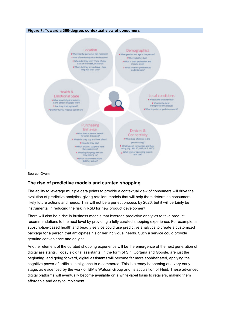<span id="page-15-0"></span>

Source: Ovum

#### **The rise of predictive models and curated shopping**

The ability to leverage multiple data points to provide a contextual view of consumers will drive the evolution of predictive analytics, giving retailers models that will help them determine consumers' likely future actions and needs. This will not be a perfect process by 2026, but it will certainly be instrumental in reducing the risk in R&D for new product development.

There will also be a rise in business models that leverage predictive analytics to take product recommendations to the next level by providing a fully curated shopping experience. For example, a subscription-based health and beauty service could use predictive analytics to create a customized package for a person that anticipates his or her individual needs. Such a service could provide genuine convenience and delight.

Another element of the curated shopping experience will be the emergence of the next generation of digital assistants. Today's digital assistants, in the form of Siri, Cortana and Google, are just the beginning, and going forward, digital assistants will become far more sophisticated, applying the cognitive power of artificial intelligence to e-commerce. This is already happening at a very early stage, as evidenced by the work of IBM's Watson Group and its acquisition of Fluid. These advanced digital platforms will eventually become available on a white-label basis to retailers, making them affordable and easy to implement.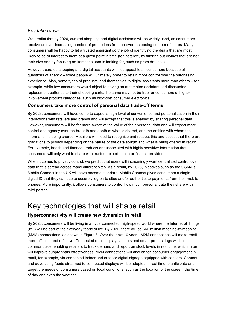#### <span id="page-16-0"></span>*Key takeaways*

We predict that by 2026, curated shopping and digital assistants will be widely used, as consumers receive an ever-increasing number of promotions from an ever-increasing number of stores. Many consumers will be happy to let a trusted assistant do the job of identifying the deals that are most likely to be of interest to them at a given point in time (for instance, by filtering out clothes that are not their size and by focusing on items the user is looking for, such as prom dresses).

However, curated shopping and digital assistants will not appeal to all consumers because of questions of agency - some people will ultimately prefer to retain more control over the purchasing experience. Also, some types of products lend themselves to digital assistants more than others – for example, while few consumers would object to having an automated assistant add discounted replacement batteries to their shopping carts, the same may not be true for consumers of higherinvolvement product categories, such as big-ticket consumer electronics.

#### **Consumers take more control of personal data trade-off terms**

By 2026, consumers will have come to expect a high level of convenience and personalization in their interactions with retailers and brands and will accept that this is enabled by sharing personal data. However, consumers will be far more aware of the value of their personal data and will expect more control and agency over the breadth and depth of what is shared, and the entities with whom the information is being shared. Retailers will need to recognize and respect this and accept that there are gradations to privacy depending on the nature of the data sought and what is being offered in return. For example, health and finance products are associated with highly sensitive information that consumers will only want to share with trusted, expert health or finance providers.

When it comes to privacy control, we predict that users will increasingly want centralized control over data that is spread across many different sites. As a result, by 2026, initiatives such as the GSMA's Mobile Connect in the UK will have become standard. Mobile Connect gives consumers a single digital ID that they can use to securely log on to sites and/or authenticate payments from their mobile phones. More importantly, it allows consumers to control how much personal data they share with third parties.

### Key technologies that will shape retail

#### **Hyperconnectivity will create new dynamics in retail**

By 2026, consumers will be living in a hyperconnected, high-speed world where the Internet of Things (IoT) will be part of the everyday fabric of life. By 2020, there will be 660 million machine-to-machine (M2M) connections, as shown in Figure 8. Over the next 10 years, M2M connections will make retail more efficient and effective. Connected retail display cabinets and smart product tags will be commonplace, enabling retailers to track demand and report on stock levels in real time, which in turn will improve supply chain effectiveness. M2M connections will also enrich consumer engagement in retail, for example, via connected indoor and outdoor digital signage equipped with sensors. Content and advertising feeds streamed to connected displays will be adapted in real time to anticipate and target the needs of consumers based on local conditions, such as the location of the screen, the time of day and even the weather.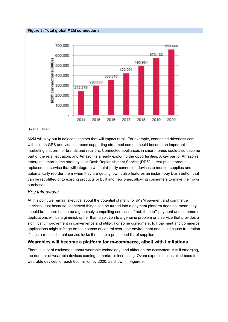

Source: Ovum

M2M will play out in adjacent sectors that will impact retail. For example, connected driverless cars with built-in GPS and video screens supporting streamed content could become an important marketing platform for brands and retailers. Connected appliances in smart homes could also become part of the retail equation, and Amazon is already exploring the opportunities. A key part of Amazon's emerging smart home strategy is its Dash Replenishment Service (DRS), a test-phase product replacement service that will integrate with third-party connected devices to monitor supplies and automatically reorder them when they are getting low. It also features an instant-buy Dash button that can be retrofitted onto existing products or built into new ones, allowing consumers to make their own purchases.

#### *Key takeaways*

At this point we remain skeptical about the potential of many  $I_0$  or  $I_1$  ayment and commerce services. Just because connected things can be turned into a payment platform does not mean they should be - there has to be a genuinely compelling use case. If not, then IoT payment and commerce applications will be a gimmick rather than a solution to a genuine problem or a service that provides a significant improvement in convenience and utility. For some consumers, IoT payment and commerce applications might infringe on their sense of control over their environment and could cause frustration if such a replenishment service locks them into a prescribed list of suppliers.

#### **Wearables will become a platform for m-commerce, albeit with limitations**

There is a lot of excitement about wearable technology, and although the ecosystem is still emerging, the number of wearable devices coming to market is increasing. Ovum expects the installed base for wearable devices to reach 650 million by 2020, as shown in Figure 9.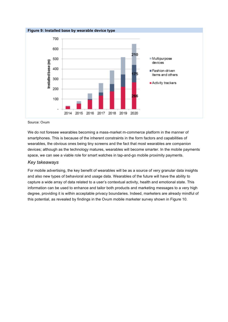<span id="page-18-0"></span>

Source: Ovum

We do not foresee wearables becoming a mass-market m-commerce platform in the manner of smartphones. This is because of the inherent constraints in the form factors and capabilities of wearables, the obvious ones being tiny screens and the fact that most wearables are companion devices; although as the technology matures, wearables will become smarter. In the mobile payments space, we can see a viable role for smart watches in tap-and-go mobile proximity payments.

#### *Key takeaways*

For mobile advertising, the key benefit of wearables will be as a source of very granular data insights and also new types of behavioral and usage data. Wearables of the future will have the ability to capture a wide array of data related to a user's contextual activity, health and emotional state. This information can be used to enhance and tailor both products and marketing messages to a very high degree, providing it is within acceptable privacy boundaries. Indeed, marketers are already mindful of this potential, as revealed by findings in the Ovum mobile marketer survey shown in Figure 10.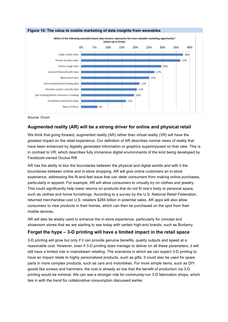<span id="page-19-0"></span>

#### Source: Ovum

#### **Augmented reality (AR) will be a strong driver for online and physical retail**

We think that going forward, augmented reality (AR) rather than virtual reality (VR) will have the greatest impact on the retail experience. Our definition of AR describes normal views of reality that have been enhanced by digitally generated information or graphics superimposed on that view. This is in contrast to VR, which describes fully immersive digital environments of the kind being developed by Facebook-owned Oculus Rift.

AR has the ability to blur the boundaries between the physical and digital worlds and with it the boundaries between online and in-store shopping. AR will give online customers an in-store experience, addressing the fit-and-feel issue that can deter consumers from making online purchases, particularly in apparel. For example, AR will allow consumers to virtually try on clothes and jewelry. This could significantly help lower returns on products that do not fit one's body or personal space, such as clothes and home furnishings. According to a survey by the U.S. National Retail Federation, returned merchandise cost U.S. retailers \$284 billion in potential sales. AR apps will also allow consumers to view products in their homes, which can then be purchased on the spot from their mobile devices.

AR will also be widely used to enhance the in-store experience, particularly for concept and showroom stores that we are starting to see today with certain high-end brands, such as Burberry.

#### Forget the hype – 3-D printing will have a limited impact in the retail space

3-D printing will grow but only if it can provide genuine benefits, quality outputs and speed at a reasonable cost. However, even if 3-D printing does manage to deliver on all these parameters, it will still have a limited role in mainstream retailing. The scenarios in which we can expect 3-D printing to have an impact relate to highly personalized products, such as gifts. It could also be used for spare parts in more complex products, such as cars and motorbikes. For more simple items, such as DIY goods like screws and hammers, the cost is already so low that the benefit of production via 3-D printing would be minimal. We can see a stronger role for community-run 3-D fabrication shops, which ties in with the trend for collaborative consumption discussed earlier.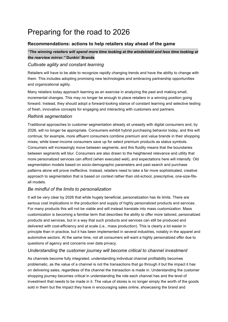## <span id="page-20-0"></span>Preparing for the road to 2026

#### **Recommendations: actions to help retailers stay ahead of the game**

#### *"The winning retailers will spend more time looking at the windshield and less time looking at the rearview mirror."* **Dunkin' Brands**

#### *Cultivate agility and constant learning*

Retailers will have to be able to recognize rapidly changing trends and have the ability to change with them. This includes adopting promising new technologies and embracing partnership opportunities and organizational agility.

Many retailers today approach learning as an exercise in analyzing the past and making small, incremental changes. This may no longer be enough to place retailers in a winning position going forward. Instead, they should adopt a forward-looking stance of constant learning and selective testing of fresh, innovative concepts for engaging and interacting with customers and partners.

#### *Rethink segmentation*

Traditional approaches to customer segmentation already sit uneasily with digital consumers and, by 2026, will no longer be appropriate. Consumers exhibit hybrid purchasing behavior today, and this will continue;; for example, more affluent consumers combine premium and value brands in their shopping mixes, while lower-income consumers save up for select premium products as status symbols. Consumers will increasingly move between segments, and this fluidity means that the boundaries between segments will blur. Consumers are also drawn to the heightened relevance and utility that more personalized services can afford (when executed well), and expectations here will intensify. Old segmentation models based on socio-demographic parameters and past search and purchase patterns alone will prove ineffective. Instead, retailers need to take a far more sophisticated, creative approach to segmentation that is based on context rather than old-school, prescriptive, one-size-fitsall models.

#### *Be mindful of the limits to personalization*

It will be very clear by 2026 that while hugely beneficial, personalization has its limits. There are serious cost implications in the production and supply of highly personalized products and services. For many products this will not be viable and will instead translate into mass customization. Mass customization is becoming a familiar term that describes the ability to offer more tailored, personalized products and services, but in a way that such products and services can still be produced and delivered with cost-efficiency and at scale (i.e., mass production). This is clearly a lot easier in principle than in practice, but it has been implemented in several industries, notably in the apparel and automotive sectors. At the same time, not all consumers will want a highly personalized offer due to questions of agency and concerns over data privacy.

#### *Understanding the customer journey will become critical to channel investment*

As channels become fully integrated, understanding individual channel profitability becomes problematic, as the value of a channel is not the transactions that go through it but the impact it has on delivering sales, regardless of the channel the transaction is made in. Understanding the customer shopping journey becomes critical in understanding the role each channel has and the level of investment that needs to be made in it. The value of stores is no longer simply the worth of the goods sold in them but the impact they have in encouraging sales online, showcasing the brand and